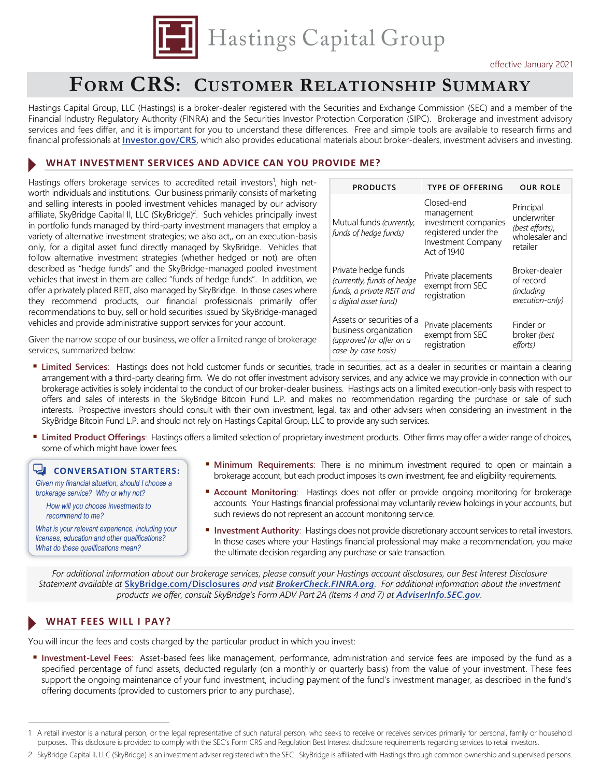

# **FORM CRS: CUSTOMER RELATIONSHIP SUMMARY**

Hastings Capital Group, LLC (Hastings) is a broker-dealer registered with the Securities and Exchange Commission (SEC) and a member of the Financial Industry Regulatory Authority (FINRA) and the Securities Investor Protection Corporation (SIPC). Brokerage and investment advisory services and fees differ, and it is important for you to understand these differences. Free and simple tools are available to research firms and financial professionals at **[Investor.gov/CRS](https://www.investor.gov/home/welcome-investor-gov-crs)**, which also provides educational materials about broker-dealers, investment advisers and investing.

### **WHAT INVESTMENT SERVICES AND ADVICE CAN YOU PROVIDE ME?**

Hastings offers brokerage services to accredited retail investors<sup>1</sup>, high networth individuals and institutions. Our business primarily consists of marketing and selling interests in pooled investment vehicles managed by our advisory affiliate, SkyBridge Capital II, LLC (SkyBridge)<sup>2</sup>. Such vehicles principally invest in portfolio funds managed by third-party investment managers that employ a variety of alternative investment strategies; we also act,, on an execution-basis only, for a digital asset fund directly managed by SkyBridge. Vehicles that follow alternative investment strategies (whether hedged or not) are often described as "hedge funds" and the SkyBridge-managed pooled investment vehicles that invest in them are called "funds of hedge funds". In addition, we offer a privately placed REIT, also managed by SkyBridge. In those cases where they recommend products, our financial professionals primarily offer recommendations to buy, sell or hold securities issued by SkyBridge-managed vehicles and provide administrative support services for your account.

Given the narrow scope of our business, we offer a limited range of brokerage services, summarized below:

| <b>PRODUCTS</b>                                                                                         | <b>TYPE OF OFFERING</b>                                                                                       | <b>OUR ROLE</b>                                                           |
|---------------------------------------------------------------------------------------------------------|---------------------------------------------------------------------------------------------------------------|---------------------------------------------------------------------------|
| Mutual funds (currently,<br>funds of hedge funds)                                                       | Closed-end<br>management<br>investment companies<br>registered under the<br>Investment Company<br>Act of 1940 | Principal<br>underwriter<br>(best efforts),<br>wholesaler and<br>retailer |
| Private hedge funds<br>(currently, funds of hedge<br>funds, a private REIT and<br>a digital asset fund) | Private placements<br>exempt from SEC<br>registration                                                         | Broker-dealer<br>of record<br><i>(including</i><br>execution-only)        |
| Assets or securities of a<br>business organization<br>(approved for offer on a<br>case-by-case basis)   | Private placements<br>exempt from SEC<br>registration                                                         | Finder or<br>broker (best<br>efforts)                                     |

- **Limited Services**: Hastings does not hold customer funds or securities, trade in securities, act as a dealer in securities or maintain a clearing arrangement with a third-party clearing firm. We do not offer investment advisory services, and any advice we may provide in connection with our brokerage activities is solely incidental to the conduct of our broker-dealer business. Hastings acts on a limited execution-only basis with respect to offers and sales of interests in the SkyBridge Bitcoin Fund L.P. and makes no recommendation regarding the purchase or sale of such interests. Prospective investors should consult with their own investment, legal, tax and other advisers when considering an investment in the SkyBridge Bitcoin Fund L.P. and should not rely on Hastings Capital Group, LLC to provide any such services.
- **Limited Product Offerings**: Hastings offers a limited selection of proprietary investment products. Other firms may offer a wider range of choices, some of which might have lower fees.

## **CONVERSATION STARTERS:**

*Given my financial situation, should I choose a brokerage service? Why or why not?*

*How will you choose investments to recommend to me?*

*What is your relevant experience, including your licenses, education and other qualifications? What do these qualifications mean?*

- **Minimum Requirements**: There is no minimum investment required to open or maintain a brokerage account, but each product imposes its own investment, fee and eligibility requirements.
- **Account Monitoring**: Hastings does not offer or provide ongoing monitoring for brokerage accounts. Your Hastings financial professional may voluntarily review holdings in your accounts, but such reviews do not represent an account monitoring service.
- **Investment Authority:** Hastings does not provide discretionary account services to retail investors. In those cases where your Hastings financial professional may make a recommendation, you make the ultimate decision regarding any purchase or sale transaction.

*For additional information about our brokerage services, please consult your Hastings account disclosures, our Best Interest Disclosure Statement available at* **[SkyBridge.com/Disclosures](http://skybridge.com/disclosures)** *and visit [BrokerCheck.FINRA.org](https://brokercheck.finra.org/firm/summary/142998). For additional information about the investment products we offer, consult SkyBridge's Form ADV Part 2A (Items 4 and 7) at [AdviserInfo.SEC.gov](https://adviserinfo.sec.gov/firm/summary/148152).*

## **WHAT FEES WILL I PAY?**

You will incur the fees and costs charged by the particular product in which you invest:

 **Investment-Level Fees**: Asset-based fees like management, performance, administration and service fees are imposed by the fund as a specified percentage of fund assets, deducted regularly (on a monthly or quarterly basis) from the value of your investment. These fees support the ongoing maintenance of your fund investment, including payment of the fund's investment manager, as described in the fund's offering documents (provided to customers prior to any purchase).

<sup>1</sup> A retail investor is a natural person, or the legal representative of such natural person, who seeks to receive or receives services primarily for personal, family or household purposes. This disclosure is provided to comply with the SEC's Form CRS and Regulation Best Interest disclosure requirements regarding services to retail investors.

<sup>2</sup> SkyBridge Capital II, LLC (SkyBridge) is an investment adviser registered with the SEC. SkyBridge is affiliated with Hastings through common ownership and supervised persons.